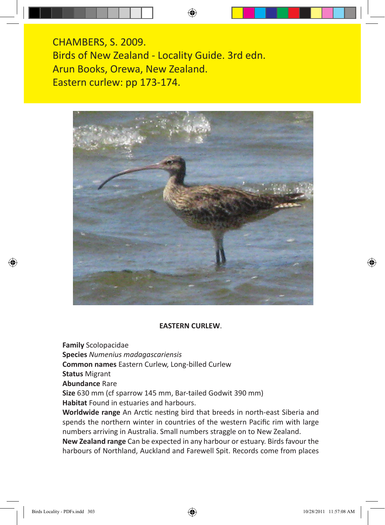CHAMBERS, S. 2009. Birds of New Zealand - Locality Guide. 3rd edn. Arun Books, Orewa, New Zealand. Eastern curlew: pp 173-174.



### **EASTERN CURLEW**.

**Family** Scolopacidae

**Species** *Numenius madagascariensis*

**Common names** Eastern Curlew, Long-billed Curlew

**Status** Migrant

**Abundance** Rare

**Size** 630 mm (cf sparrow 145 mm, Bar-tailed Godwit 390 mm)

**Habitat** Found in estuaries and harbours.

**Worldwide range** An Arctic nesting bird that breeds in north-east Siberia and spends the northern winter in countries of the western Pacific rim with large numbers arriving in Australia. Small numbers straggle on to New Zealand.

**New Zealand range** Can be expected in any harbour or estuary. Birds favour the harbours of Northland, Auckland and Farewell Spit. Records come from places